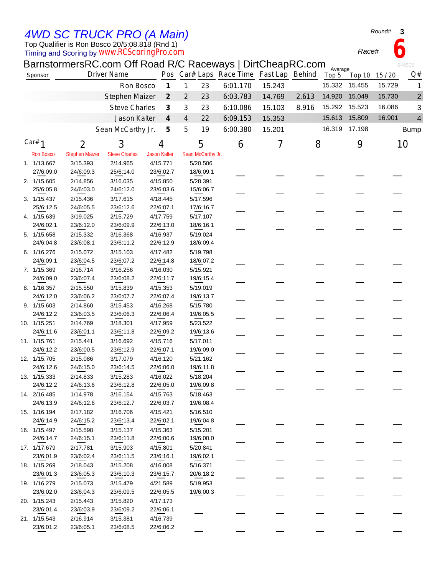*4WD SC TRUCK PRO (A Main)*

Top Qualifier is Ron Bosco 20/5:08.818 (Rnd 1)

Timing and Scoring by *www.RCScoringPro.com*

| BarnstormersRC.com Off Road R/C Raceways   DirtCheapRC.com |  |
|------------------------------------------------------------|--|
|------------------------------------------------------------|--|

| Sponsor                   |                       | NO.COM ON HOUGH NO HOUGHAIGH DIRONOGOLOGI<br><b>Driver Name</b> |                             | Pos Car# Laps Race Time Fast Lap Behind |          |        |       | Average<br>Top 5<br>Top 10 | Q#<br>15 / 20                      |
|---------------------------|-----------------------|-----------------------------------------------------------------|-----------------------------|-----------------------------------------|----------|--------|-------|----------------------------|------------------------------------|
|                           |                       | Ron Bosco                                                       | $\boldsymbol{\mathcal{I}}$  | 1<br>23                                 | 6:01.170 | 15.243 |       | 15.332<br>15.455           | 15.729<br>1                        |
|                           |                       | Stephen Maizer                                                  | $\mathcal{Z}_{\mathcal{C}}$ | 23<br>$\overline{2}$                    | 6:03.783 | 14.769 | 2.613 | 14.920<br>15.049           | 15.730<br>$\overline{\mathbf{c}}$  |
|                           |                       |                                                                 |                             |                                         |          |        |       | 15.292 15.523              |                                    |
|                           |                       | <b>Steve Charles</b>                                            | $\mathcal{J}_{\mathcal{S}}$ | 3<br>23                                 | 6:10.086 | 15.103 | 8.916 |                            | 16.086<br>3                        |
|                           |                       | Jason Kalter                                                    | $\overline{4}$              | 22<br>4                                 | 6:09.153 | 15.353 |       | 15.613 15.809              | $\overline{\mathcal{A}}$<br>16.901 |
|                           |                       | Sean McCarthy Jr.                                               | $\boldsymbol{\mathcal{F}}$  | 5<br>19                                 | 6:00.380 | 15.201 |       | 16.319 17.198              | <b>Bump</b>                        |
| Car# $1$                  | $\overline{2}$        | 3                                                               | 4                           | 5                                       | 6        | 7      | 8     | 9                          | 10                                 |
| <b>Ron Bosco</b>          | <b>Stephen Maizer</b> | <b>Steve Charles</b>                                            | <b>Jason Kalter</b>         | Sean McCarthy Jr.                       |          |        |       |                            |                                    |
| 1. 1/13.667               | 3/15.393              | 2/14.965                                                        | 4/15.771                    | 5/20.506                                |          |        |       |                            |                                    |
| 27/6:09.0                 | 24/6:09.3             | 25/6:14.0                                                       | 23/6:02.7                   | 18/6:09.1                               |          |        |       |                            |                                    |
| 2. 1/15.605               | 2/14.856              | 3/16.035                                                        | 4/15.850                    | 5/28.391                                |          |        |       |                            |                                    |
| 25/6:05.8                 | 24/6:03.0             | 24/6:12.0                                                       | 23/6:03.6                   | 15/6:06.7                               |          |        |       |                            |                                    |
| 3. 1/15.437               | 2/15.436              | 3/17.615                                                        | 4/18.445                    | 5/17.596                                |          |        |       |                            |                                    |
| 25/6:12.5                 | 24/6:05.5             | 23/6:12.6                                                       | 22/6:07.1                   | 17/6:16.7                               |          |        |       |                            |                                    |
| 4. 1/15.639               | 3/19.025              | 2/15.729                                                        | 4/17.759                    | 5/17.107                                |          |        |       |                            |                                    |
| 24/6:02.1                 | 23/6:12.0             | 23/6:09.9                                                       | 22/6:13.0                   | 18/6:16.1                               |          |        |       |                            |                                    |
| 5. 1/15.658               | 2/15.332              | 3/16.368                                                        | 4/16.937                    | 5/19.024                                |          |        |       |                            |                                    |
| 24/6:04.8                 | 23/6:08.1             | 23/6:11.2                                                       | 22/6:12.9                   | 18/6:09.4                               |          |        |       |                            |                                    |
| 6. 1/16.276               | 2/15.072              | 3/15.103                                                        | 4/17.482                    | 5/19.798                                |          |        |       |                            |                                    |
| 24/6:09.1                 | 23/6:04.5             | 23/6:07.2                                                       | 22/6:14.8                   | 18/6:07.2                               |          |        |       |                            |                                    |
| 7. 1/15.369               | 2/16.714              | 3/16.256                                                        | 4/16.030                    | 5/15.921                                |          |        |       |                            |                                    |
| 24/6:09.0                 | 23/6:07.4             | 23/6:08.2                                                       | 22/6:11.7                   | 19/6:15.4                               |          |        |       |                            |                                    |
| 8. 1/16.357               | 2/15.550              | 3/15.839                                                        | 4/15.353                    | 5/19.019                                |          |        |       |                            |                                    |
| 24/6:12.0                 | 23/6:06.2             | 23/6:07.7                                                       | 22/6:07.4                   | 19/6:13.7                               |          |        |       |                            |                                    |
| 9. 1/15.603               | 2/14.860              | 3/15.453                                                        | 4/16.268                    | 5/15.780                                |          |        |       |                            |                                    |
| 24/6:12.2                 | 23/6:03.5             | 23/6:06.3                                                       | 22/6:06.4                   | 19/6:05.5                               |          |        |       |                            |                                    |
| 10. 1/15.251              | 2/14.769              | 3/18.301                                                        | 4/17.959                    | 5/23.522                                |          |        |       |                            |                                    |
| 24/6:11.6                 | 23/6:01.1             | 23/6:11.8                                                       | 22/6:09.2                   | 19/6:13.6                               |          |        |       |                            |                                    |
|                           |                       |                                                                 |                             |                                         |          |        |       |                            |                                    |
| 11. 1/15.761<br>24/6:12.2 | 2/15.441<br>23/6:00.5 | 3/16.692<br>23/6:12.9                                           | 4/15.716<br>22/6:07.1       | 5/17.011<br>19/6:09.0                   |          |        |       |                            |                                    |
|                           |                       |                                                                 |                             |                                         |          |        |       |                            |                                    |
| 12. 1/15.705<br>24/6:12.6 | 2/15.086<br>24/6:15.0 | 3/17.079                                                        | 4/16.120<br>22/6:06.0       | 5/21.162                                |          |        |       |                            |                                    |
|                           |                       | 23/6:14.5                                                       |                             | 19/6:11.8                               |          |        |       |                            |                                    |
| 13. 1/15.333              | 2/14.833              | 3/15.283                                                        | 4/16.022                    | 5/18.204<br>19/6:09.8                   |          |        |       |                            |                                    |
| 24/6:12.2                 | 24/6:13.6             | 23/6:12.8                                                       | 22/6:05.0                   |                                         |          |        |       |                            |                                    |
| 14. 2/16.485              | 1/14.978              | 3/16.154                                                        | 4/15.763                    | 5/18.463                                |          |        |       |                            |                                    |
| 24/6:13.9                 | 24/6:12.6             | 23/6:12.7                                                       | 22/6:03.7                   | 19/6:08.4                               |          |        |       |                            |                                    |
| 15. 1/16.194              | 2/17.182              | 3/16.706                                                        | 4/15.421                    | 5/16.510                                |          |        |       |                            |                                    |
| 24/6:14.9                 | 24/6:15.2             | 23/6:13.4                                                       | 22/6:02.1                   | 19/6:04.8                               |          |        |       |                            |                                    |
| 16. 1/15.497              | 2/15.598              | 3/15.137                                                        | 4/15.363                    | 5/15.201                                |          |        |       |                            |                                    |
| 24/6:14.7                 | 24/6:15.1             | 23/6:11.8                                                       | 22/6:00.6                   | 19/6:00.0                               |          |        |       |                            |                                    |
| 17. 1/17.679              | 2/17.781              | 3/15.903                                                        | 4/15.801                    | 5/20.841                                |          |        |       |                            |                                    |
| 23/6:01.9                 | 23/6:02.4             | 23/6:11.5                                                       | 23/6:16.1                   | 19/6:02.1                               |          |        |       |                            |                                    |
| 18. 1/15.269              | 2/18.043              | 3/15.208                                                        | 4/16.008                    | 5/16.371                                |          |        |       |                            |                                    |
| 23/6:01.3                 | 23/6:05.3             | 23/6:10.3                                                       | 23/6:15.7                   | 20/6:18.2                               |          |        |       |                            |                                    |
| 19. 1/16.279              | 2/15.073              | 3/15.479                                                        | 4/21.589                    | 5/19.953                                |          |        |       |                            |                                    |
| 23/6:02.0                 | 23/6:04.3             | 23/6:09.5                                                       | 22/6:05.5                   | 19/6:00.3                               |          |        |       |                            |                                    |
| 20. 1/15.243              | 2/15.443              | 3/15.820                                                        | 4/17.173                    |                                         |          |        |       |                            |                                    |
| 23/6:01.4                 | 23/6:03.9             | 23/6:09.2                                                       | 22/6:06.1                   |                                         |          |        |       |                            |                                    |
| 21. 1/15.543              | 2/16.914              | 3/15.381                                                        | 4/16.739                    |                                         |          |        |       |                            |                                    |
| 23/6:01.2                 | 23/6:05.1             | 23/6:08.5                                                       | 22/6:06.2                   |                                         |          |        |       |                            |                                    |

*Round#* **3**

646506

*Race#* **6**